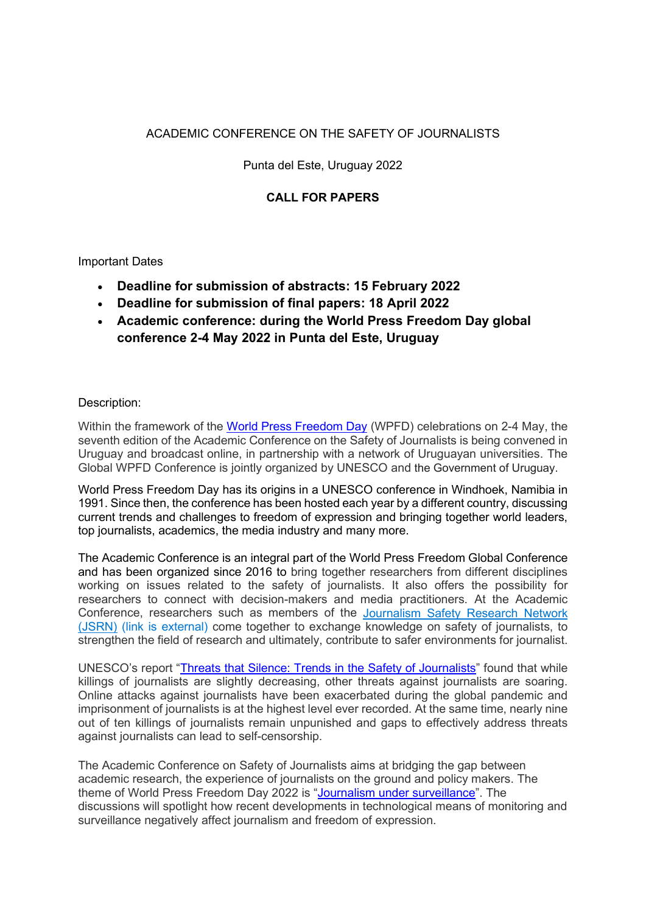# ACADEMIC CONFERENCE ON THE SAFETY OF JOURNALISTS

## Punta del Este, Uruguay 2022

# **CALL FOR PAPERS**

Important Dates

- **Deadline for submission of abstracts: 15 February 2022**
- **Deadline for submission of final papers: 18 April 2022**
- **Academic conference: during the World Press Freedom Day global conference 2-4 May 2022 in Punta del Este, Uruguay**

### Description:

Within the framework of the World Press Freedom Day (WPFD) celebrations on 2-4 May, the seventh edition of the Academic Conference on the Safety of Journalists is being convened in Uruguay and broadcast online, in partnership with a network of Uruguayan universities. The Global WPFD Conference is jointly organized by UNESCO and the Government of Uruguay.

World Press Freedom Day has its origins in a UNESCO conference in Windhoek, Namibia in 1991. Since then, the conference has been hosted each year by a different country, discussing current trends and challenges to freedom of expression and bringing together world leaders, top journalists, academics, the media industry and many more.

The Academic Conference is an integral part of the World Press Freedom Global Conference and has been organized since 2016 to bring together researchers from different disciplines working on issues related to the safety of journalists. It also offers the possibility for researchers to connect with decision-makers and media practitioners. At the Academic Conference, researchers such as members of the Journalism Safety Research Network (JSRN) (link is external) come together to exchange knowledge on safety of journalists, to strengthen the field of research and ultimately, contribute to safer environments for journalist.

UNESCO's report "Threats that Silence: Trends in the Safety of Journalists" found that while killings of journalists are slightly decreasing, other threats against journalists are soaring. Online attacks against journalists have been exacerbated during the global pandemic and imprisonment of journalists is at the highest level ever recorded. At the same time, nearly nine out of ten killings of journalists remain unpunished and gaps to effectively address threats against journalists can lead to self-censorship.

The Academic Conference on Safety of Journalists aims at bridging the gap between academic research, the experience of journalists on the ground and policy makers. The theme of World Press Freedom Day 2022 is "Journalism under surveillance". The discussions will spotlight how recent developments in technological means of monitoring and surveillance negatively affect journalism and freedom of expression.